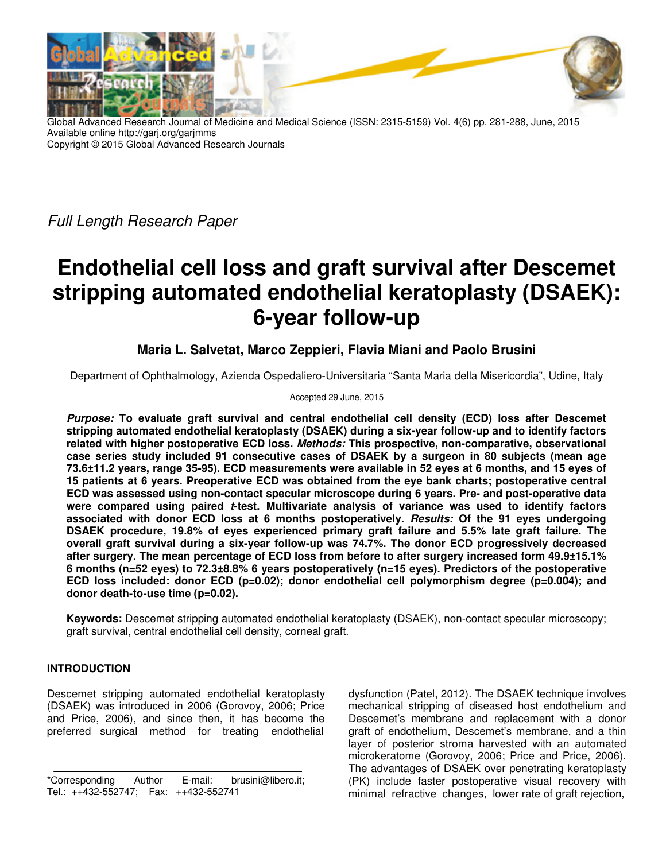

Global Advanced Research Journal of Medicine and Medical Science (ISSN: 2315-5159) Vol. 4(6) pp. 281-288, June, 2015 Available online http://garj.org/garjmms Copyright © 2015 Global Advanced Research Journals

Full Length Research Paper

# **Endothelial cell loss and graft survival after Descemet stripping automated endothelial keratoplasty (DSAEK): 6-year follow-up**

## **Maria L. Salvetat, Marco Zeppieri, Flavia Miani and Paolo Brusini**

Department of Ophthalmology, Azienda Ospedaliero-Universitaria "Santa Maria della Misericordia", Udine, Italy

#### Accepted 29 June, 2015

*Purpose:* **To evaluate graft survival and central endothelial cell density (ECD) loss after Descemet stripping automated endothelial keratoplasty (DSAEK) during a six-year follow-up and to identify factors related with higher postoperative ECD loss.** *Methods:* **This prospective, non-comparative, observational case series study included 91 consecutive cases of DSAEK by a surgeon in 80 subjects (mean age 73.6±11.2 years, range 35-95). ECD measurements were available in 52 eyes at 6 months, and 15 eyes of 15 patients at 6 years. Preoperative ECD was obtained from the eye bank charts; postoperative central ECD was assessed using non-contact specular microscope during 6 years. Pre- and post-operative data were compared using paired** *t***-test. Multivariate analysis of variance was used to identify factors associated with donor ECD loss at 6 months postoperatively.** *Results:* **Of the 91 eyes undergoing DSAEK procedure, 19.8% of eyes experienced primary graft failure and 5.5% late graft failure. The overall graft survival during a six-year follow-up was 74.7%. The donor ECD progressively decreased after surgery. The mean percentage of ECD loss from before to after surgery increased form 49.9±15.1% 6 months (n=52 eyes) to 72.3±8.8% 6 years postoperatively (n=15 eyes). Predictors of the postoperative ECD loss included: donor ECD (p=0.02); donor endothelial cell polymorphism degree (p=0.004); and donor death-to-use time (p=0.02).** 

**Keywords:** Descemet stripping automated endothelial keratoplasty (DSAEK), non-contact specular microscopy; graft survival, central endothelial cell density, corneal graft.

### **INTRODUCTION**

Descemet stripping automated endothelial keratoplasty (DSAEK) was introduced in 2006 (Gorovoy, 2006; Price and Price, 2006), and since then, it has become the preferred surgical method for treating endothelial dysfunction (Patel, 2012). The DSAEK technique involves mechanical stripping of diseased host endothelium and Descemet's membrane and replacement with a donor graft of endothelium, Descemet's membrane, and a thin layer of posterior stroma harvested with an automated microkeratome (Gorovoy, 2006; Price and Price, 2006). The advantages of DSAEK over penetrating keratoplasty (PK) include faster postoperative visual recovery with minimal refractive changes, lower rate of graft rejection,

<sup>\*</sup>Corresponding Author E-mail: brusini@libero.it; Tel.: ++432-552747; Fax: ++432-552741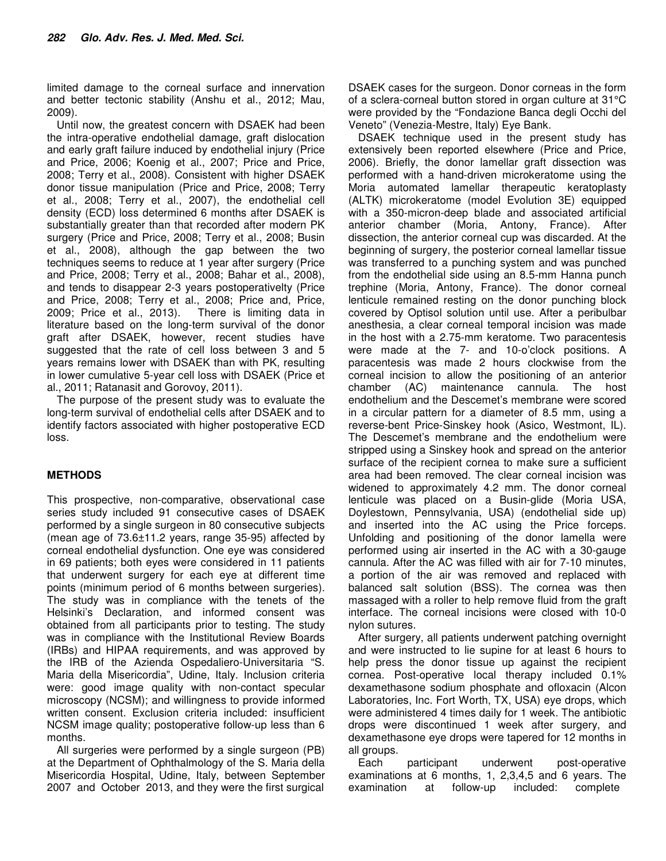limited damage to the corneal surface and innervation and better tectonic stability (Anshu et al., 2012; Mau, 2009).

Until now, the greatest concern with DSAEK had been the intra-operative endothelial damage, graft dislocation and early graft failure induced by endothelial injury (Price and Price, 2006; Koenig et al., 2007; Price and Price, 2008; Terry et al., 2008). Consistent with higher DSAEK donor tissue manipulation (Price and Price, 2008; Terry et al., 2008; Terry et al., 2007), the endothelial cell density (ECD) loss determined 6 months after DSAEK is substantially greater than that recorded after modern PK surgery (Price and Price, 2008; Terry et al., 2008; Busin et al., 2008), although the gap between the two techniques seems to reduce at 1 year after surgery (Price and Price, 2008; Terry et al., 2008; Bahar et al., 2008), and tends to disappear 2-3 years postoperativelty (Price and Price, 2008; Terry et al., 2008; Price and, Price, 2009; Price et al., 2013). There is limiting data in literature based on the long-term survival of the donor graft after DSAEK, however, recent studies have suggested that the rate of cell loss between 3 and 5 years remains lower with DSAEK than with PK, resulting in lower cumulative 5-year cell loss with DSAEK (Price et al., 2011; Ratanasit and Gorovoy, 2011).

The purpose of the present study was to evaluate the long-term survival of endothelial cells after DSAEK and to identify factors associated with higher postoperative ECD loss.

### **METHODS**

This prospective, non-comparative, observational case series study included 91 consecutive cases of DSAEK performed by a single surgeon in 80 consecutive subjects (mean age of 73.6±11.2 years, range 35-95) affected by corneal endothelial dysfunction. One eye was considered in 69 patients; both eyes were considered in 11 patients that underwent surgery for each eye at different time points (minimum period of 6 months between surgeries). The study was in compliance with the tenets of the Helsinki's Declaration, and informed consent was obtained from all participants prior to testing. The study was in compliance with the Institutional Review Boards (IRBs) and HIPAA requirements, and was approved by the IRB of the Azienda Ospedaliero-Universitaria "S. Maria della Misericordia", Udine, Italy. Inclusion criteria were: good image quality with non-contact specular microscopy (NCSM); and willingness to provide informed written consent. Exclusion criteria included: insufficient NCSM image quality; postoperative follow-up less than 6 months.

All surgeries were performed by a single surgeon (PB) at the Department of Ophthalmology of the S. Maria della Misericordia Hospital, Udine, Italy, between September 2007 and October 2013, and they were the first surgical

DSAEK cases for the surgeon. Donor corneas in the form of a sclera-corneal button stored in organ culture at 31°C were provided by the "Fondazione Banca degli Occhi del Veneto" (Venezia-Mestre, Italy) Eye Bank.

DSAEK technique used in the present study has extensively been reported elsewhere (Price and Price, 2006). Briefly, the donor lamellar graft dissection was performed with a hand-driven microkeratome using the Moria automated lamellar therapeutic keratoplasty (ALTK) microkeratome (model Evolution 3E) equipped with a 350-micron-deep blade and associated artificial anterior chamber (Moria, Antony, France). After dissection, the anterior corneal cup was discarded. At the beginning of surgery, the posterior corneal lamellar tissue was transferred to a punching system and was punched from the endothelial side using an 8.5-mm Hanna punch trephine (Moria, Antony, France). The donor corneal lenticule remained resting on the donor punching block covered by Optisol solution until use. After a peribulbar anesthesia, a clear corneal temporal incision was made in the host with a 2.75-mm keratome. Two paracentesis were made at the 7- and 10-o'clock positions. A paracentesis was made 2 hours clockwise from the corneal incision to allow the positioning of an anterior chamber (AC) maintenance cannula. The host endothelium and the Descemet's membrane were scored in a circular pattern for a diameter of 8.5 mm, using a reverse-bent Price-Sinskey hook (Asico, Westmont, IL). The Descemet's membrane and the endothelium were stripped using a Sinskey hook and spread on the anterior surface of the recipient cornea to make sure a sufficient area had been removed. The clear corneal incision was widened to approximately 4.2 mm. The donor corneal lenticule was placed on a Busin-glide (Moria USA, Doylestown, Pennsylvania, USA) (endothelial side up) and inserted into the AC using the Price forceps. Unfolding and positioning of the donor lamella were performed using air inserted in the AC with a 30-gauge cannula. After the AC was filled with air for 7-10 minutes, a portion of the air was removed and replaced with balanced salt solution (BSS). The cornea was then massaged with a roller to help remove fluid from the graft interface. The corneal incisions were closed with 10-0 nylon sutures.

After surgery, all patients underwent patching overnight and were instructed to lie supine for at least 6 hours to help press the donor tissue up against the recipient cornea. Post-operative local therapy included 0.1% dexamethasone sodium phosphate and ofloxacin (Alcon Laboratories, Inc. Fort Worth, TX, USA) eye drops, which were administered 4 times daily for 1 week. The antibiotic drops were discontinued 1 week after surgery, and dexamethasone eye drops were tapered for 12 months in all groups.

Each participant underwent post-operative examinations at 6 months, 1, 2,3,4,5 and 6 years. The examination at follow-up included: complete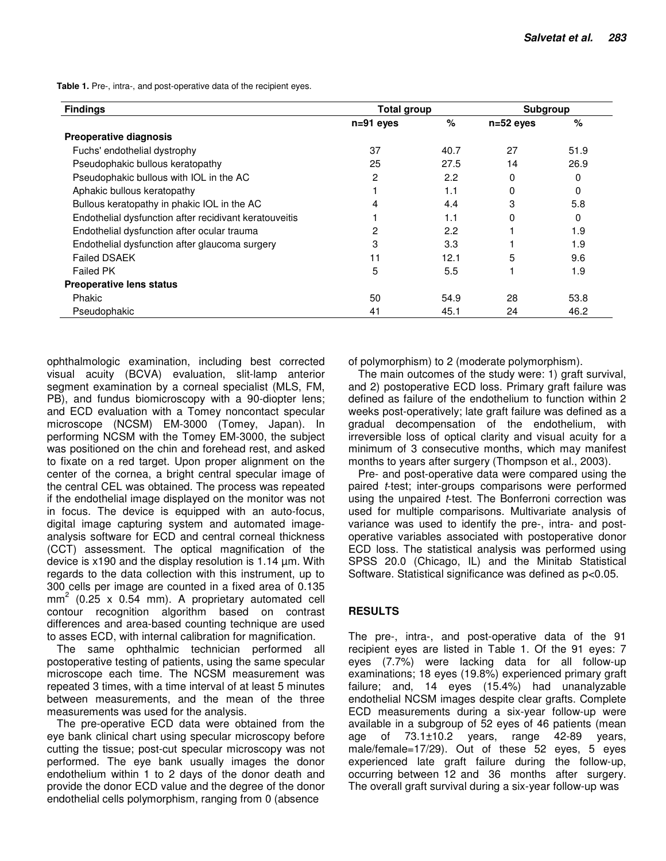**Table 1.** Pre-, intra-, and post-operative data of the recipient eyes.

| <b>Findings</b>                                        | <b>Total group</b> |      | <b>Subgroup</b> |      |
|--------------------------------------------------------|--------------------|------|-----------------|------|
|                                                        | $n=91$ eyes        | %    | $n=52$ eyes     | $\%$ |
| <b>Preoperative diagnosis</b>                          |                    |      |                 |      |
| Fuchs' endothelial dystrophy                           | 37                 | 40.7 | 27              | 51.9 |
| Pseudophakic bullous keratopathy                       | 25                 | 27.5 | 14              | 26.9 |
| Pseudophakic bullous with IOL in the AC                | 2                  | 2.2  | 0               | 0    |
| Aphakic bullous keratopathy                            |                    | 1.1  | 0               | 0    |
| Bullous keratopathy in phakic IOL in the AC            | 4                  | 4.4  | 3               | 5.8  |
| Endothelial dysfunction after recidivant keratouveitis |                    | 1.1  | 0               | 0    |
| Endothelial dysfunction after ocular trauma            | 2                  | 2.2  |                 | 1.9  |
| Endothelial dysfunction after glaucoma surgery         | 3                  | 3.3  |                 | 1.9  |
| <b>Failed DSAEK</b>                                    | 11                 | 12.1 | 5               | 9.6  |
| <b>Failed PK</b>                                       | 5                  | 5.5  |                 | 1.9  |
| <b>Preoperative lens status</b>                        |                    |      |                 |      |
| Phakic                                                 | 50                 | 54.9 | 28              | 53.8 |
| Pseudophakic                                           | 41                 | 45.1 | 24              | 46.2 |

ophthalmologic examination, including best corrected visual acuity (BCVA) evaluation, slit-lamp anterior segment examination by a corneal specialist (MLS, FM, PB), and fundus biomicroscopy with a 90-diopter lens; and ECD evaluation with a Tomey noncontact specular microscope (NCSM) EM-3000 (Tomey, Japan). In performing NCSM with the Tomey EM-3000, the subject was positioned on the chin and forehead rest, and asked to fixate on a red target. Upon proper alignment on the center of the cornea, a bright central specular image of the central CEL was obtained. The process was repeated if the endothelial image displayed on the monitor was not in focus. The device is equipped with an auto-focus, digital image capturing system and automated imageanalysis software for ECD and central corneal thickness (CCT) assessment. The optical magnification of the device is x190 and the display resolution is 1.14 µm. With regards to the data collection with this instrument, up to 300 cells per image are counted in a fixed area of 0.135 mm<sup>2</sup> (0.25 x 0.54 mm). A proprietary automated cell contour recognition algorithm based on contrast differences and area-based counting technique are used to asses ECD, with internal calibration for magnification.

The same ophthalmic technician performed all postoperative testing of patients, using the same specular microscope each time. The NCSM measurement was repeated 3 times, with a time interval of at least 5 minutes between measurements, and the mean of the three measurements was used for the analysis.

The pre-operative ECD data were obtained from the eye bank clinical chart using specular microscopy before cutting the tissue; post-cut specular microscopy was not performed. The eye bank usually images the donor endothelium within 1 to 2 days of the donor death and provide the donor ECD value and the degree of the donor endothelial cells polymorphism, ranging from 0 (absence

of polymorphism) to 2 (moderate polymorphism).

The main outcomes of the study were: 1) graft survival, and 2) postoperative ECD loss. Primary graft failure was defined as failure of the endothelium to function within 2 weeks post-operatively; late graft failure was defined as a gradual decompensation of the endothelium, with irreversible loss of optical clarity and visual acuity for a minimum of 3 consecutive months, which may manifest months to years after surgery (Thompson et al., 2003).

Pre- and post-operative data were compared using the paired *t*-test; inter-groups comparisons were performed using the unpaired *t*-test. The Bonferroni correction was used for multiple comparisons. Multivariate analysis of variance was used to identify the pre-, intra- and postoperative variables associated with postoperative donor ECD loss. The statistical analysis was performed using SPSS 20.0 (Chicago, IL) and the Minitab Statistical Software. Statistical significance was defined as p<0.05.

#### **RESULTS**

The pre-, intra-, and post-operative data of the 91 recipient eyes are listed in Table 1. Of the 91 eyes: 7 eyes (7.7%) were lacking data for all follow-up examinations; 18 eyes (19.8%) experienced primary graft failure; and, 14 eyes (15.4%) had unanalyzable endothelial NCSM images despite clear grafts. Complete ECD measurements during a six-year follow-up were available in a subgroup of 52 eyes of 46 patients (mean age of 73.1±10.2 years, range 42-89 years, male/female=17/29). Out of these 52 eyes, 5 eyes experienced late graft failure during the follow-up, occurring between 12 and 36 months after surgery. The overall graft survival during a six-year follow-up was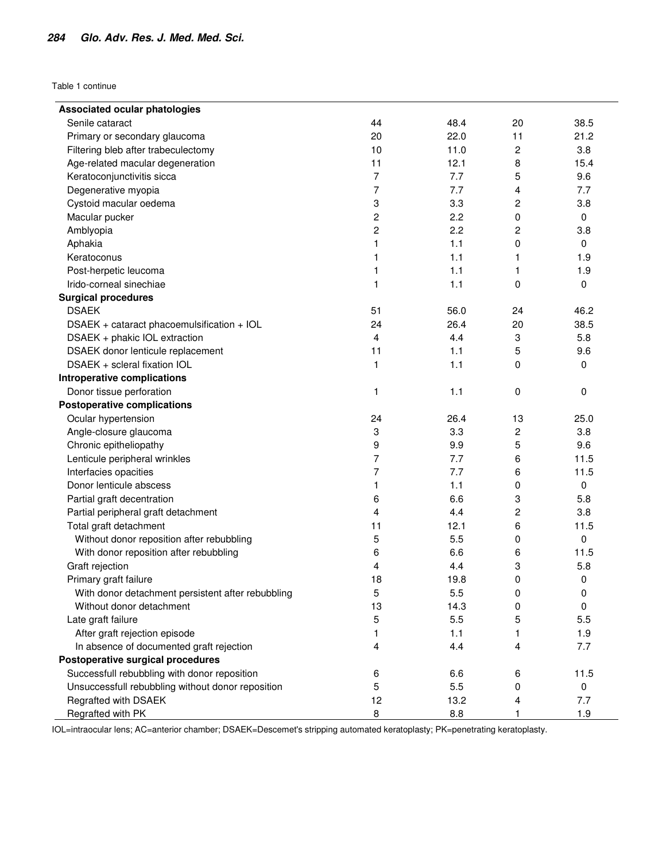Table 1 continue

| <b>Associated ocular phatologies</b>              |                |      |                |             |
|---------------------------------------------------|----------------|------|----------------|-------------|
| Senile cataract                                   | 44             | 48.4 | 20             | 38.5        |
| Primary or secondary glaucoma                     | 20             | 22.0 | 11             | 21.2        |
| Filtering bleb after trabeculectomy               | 10             | 11.0 | $\overline{c}$ | 3.8         |
| Age-related macular degeneration                  | 11             | 12.1 | 8              | 15.4        |
| Keratoconjunctivitis sicca                        | $\overline{7}$ | 7.7  | 5              | 9.6         |
| Degenerative myopia                               | 7              | 7.7  | 4              | 7.7         |
| Cystoid macular oedema                            | 3              | 3.3  | 2              | 3.8         |
| Macular pucker                                    | 2              | 2.2  | 0              | 0           |
| Amblyopia                                         | 2              | 2.2  | 2              | 3.8         |
| Aphakia                                           | 1              | 1.1  | 0              | 0           |
| Keratoconus                                       | 1              | 1.1  | 1              | 1.9         |
| Post-herpetic leucoma                             | 1              | 1.1  | 1              | 1.9         |
| Irido-corneal sinechiae                           | 1              | 1.1  | 0              | 0           |
| <b>Surgical procedures</b>                        |                |      |                |             |
| <b>DSAEK</b>                                      | 51             | 56.0 | 24             | 46.2        |
| DSAEK + cataract phacoemulsification + IOL        | 24             | 26.4 | 20             | 38.5        |
| DSAEK + phakic IOL extraction                     | 4              | 4.4  | 3              | 5.8         |
| DSAEK donor lenticule replacement                 | 11             | 1.1  | 5              | 9.6         |
| DSAEK + scleral fixation IOL                      | 1              | 1.1  | 0              | 0           |
| Introperative complications                       |                |      |                |             |
| Donor tissue perforation                          | 1              | 1.1  | 0              | 0           |
| <b>Postoperative complications</b>                |                |      |                |             |
| Ocular hypertension                               | 24             | 26.4 | 13             | 25.0        |
| Angle-closure glaucoma                            | 3              | 3.3  | 2              | 3.8         |
| Chronic epitheliopathy                            | 9              | 9.9  | 5              | 9.6         |
| Lenticule peripheral wrinkles                     | 7              | 7.7  | 6              | 11.5        |
| Interfacies opacities                             | 7              | 7.7  | 6              | 11.5        |
| Donor lenticule abscess                           | 1              | 1.1  | 0              | 0           |
| Partial graft decentration                        | 6              | 6.6  | 3              | 5.8         |
| Partial peripheral graft detachment               | 4              | 4.4  | 2              | 3.8         |
| Total graft detachment                            | 11             | 12.1 | 6              | 11.5        |
| Without donor reposition after rebubbling         | 5              | 5.5  | 0              | 0           |
| With donor reposition after rebubbling            | 6              | 6.6  | 6              | 11.5        |
| Graft rejection                                   | 4              | 4.4  | 3              | 5.8         |
| Primary graft failure                             | 18             | 19.8 | 0              | 0           |
| With donor detachment persistent after rebubbling | 5              | 5.5  | 0              | 0           |
| Without donor detachment                          | 13             | 14.3 | 0              | $\mathbf 0$ |
| Late graft failure                                | 5              | 5.5  | 5              | 5.5         |
| After graft rejection episode                     | 1              | 1.1  | 1              | 1.9         |
| In absence of documented graft rejection          | 4              | 4.4  | 4              | 7.7         |
| Postoperative surgical procedures                 |                |      |                |             |
| Successfull rebubbling with donor reposition      | 6              | 6.6  | 6              | 11.5        |
| Unsuccessfull rebubbling without donor reposition | 5              | 5.5  | 0              | 0           |
| Regrafted with DSAEK                              | 12             | 13.2 | 4              | 7.7         |
| Regrafted with PK                                 | 8              | 8.8  | 1              | 1.9         |

IOL=intraocular lens; AC=anterior chamber; DSAEK=Descemet's stripping automated keratoplasty; PK=penetrating keratoplasty.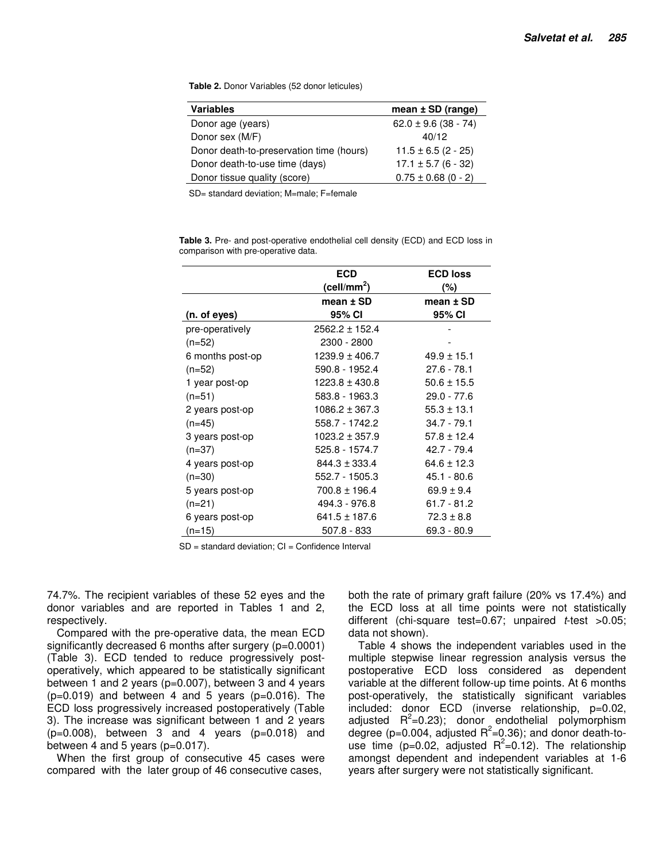**Table 2.** Donor Variables (52 donor leticules)

| <b>Variables</b>                         | mean $±$ SD (range)      |
|------------------------------------------|--------------------------|
| Donor age (years)                        | $62.0 \pm 9.6$ (38 - 74) |
| Donor sex (M/F)                          | 40/12                    |
| Donor death-to-preservation time (hours) | $11.5 \pm 6.5$ (2 - 25)  |
| Donor death-to-use time (days)           | $17.1 \pm 5.7$ (6 - 32)  |
| Donor tissue quality (score)             | $0.75 \pm 0.68$ (0 - 2)  |
|                                          |                          |

SD= standard deviation; M=male; F=female

**Table 3.** Pre- and post-operative endothelial cell density (ECD) and ECD loss in comparison with pre-operative data.

|                  | <b>ECD</b>              | <b>ECD loss</b> |
|------------------|-------------------------|-----------------|
|                  | (cell/mm <sup>2</sup> ) | (%)             |
|                  | mean $±$ SD             | mean $±$ SD     |
| (n. of eyes)     | 95% CI                  | 95% CI          |
| pre-operatively  | $2562.2 \pm 152.4$      |                 |
| $(n=52)$         | 2300 - 2800             |                 |
| 6 months post-op | 1239.9 ± 406.7          | $49.9 \pm 15.1$ |
| $(n=52)$         | 590.8 - 1952.4          | 27.6 - 78.1     |
| 1 year post-op   | $1223.8 \pm 430.8$      | $50.6 \pm 15.5$ |
| $(n=51)$         | 583.8 - 1963.3          | $29.0 - 77.6$   |
| 2 years post-op  | $1086.2 \pm 367.3$      | $55.3 \pm 13.1$ |
| $(n=45)$         | 558.7 - 1742.2          | $34.7 - 79.1$   |
| 3 years post-op  | $1023.2 \pm 357.9$      | $57.8 \pm 12.4$ |
| $(n=37)$         | 525.8 - 1574.7          | $42.7 - 79.4$   |
| 4 years post-op  | $844.3 \pm 333.4$       | $64.6 \pm 12.3$ |
| $(n=30)$         | 552.7 - 1505.3          | $45.1 - 80.6$   |
| 5 years post-op  | $700.8 \pm 196.4$       | $69.9 \pm 9.4$  |
| $(n=21)$         | 494.3 - 976.8           | $61.7 - 81.2$   |
| 6 years post-op  | 641.5 ± 187.6           | $72.3 \pm 8.8$  |
| (n=15)           | 507.8 - 833             | $69.3 - 80.9$   |

 $SD = standard deviation: CI = Confidence Interval$ 

74.7%. The recipient variables of these 52 eyes and the donor variables and are reported in Tables 1 and 2, respectively.

Compared with the pre-operative data, the mean ECD significantly decreased 6 months after surgery (p=0.0001) (Table 3). ECD tended to reduce progressively postoperatively, which appeared to be statistically significant between 1 and 2 years (p=0.007), between 3 and 4 years  $(p=0.019)$  and between 4 and 5 years  $(p=0.016)$ . The ECD loss progressively increased postoperatively (Table 3). The increase was significant between 1 and 2 years (p=0.008), between 3 and 4 years (p=0.018) and between 4 and 5 years  $(p=0.017)$ .

When the first group of consecutive 45 cases were compared with the later group of 46 consecutive cases,

both the rate of primary graft failure (20% vs 17.4%) and the ECD loss at all time points were not statistically different (chi-square test=0.67; unpaired t-test >0.05; data not shown).

Table 4 shows the independent variables used in the multiple stepwise linear regression analysis versus the postoperative ECD loss considered as dependent variable at the different follow-up time points. At 6 months post-operatively, the statistically significant variables included: donor ECD (inverse relationship, p=0.02, adjusted  $R^2$ =0.23); donor endothelial polymorphism degree (p=0.004, adjusted  $R^2$ =0.36); and donor death-touse time (p=0.02, adjusted  $R^2=0.12$ ). The relationship amongst dependent and independent variables at 1-6 years after surgery were not statistically significant.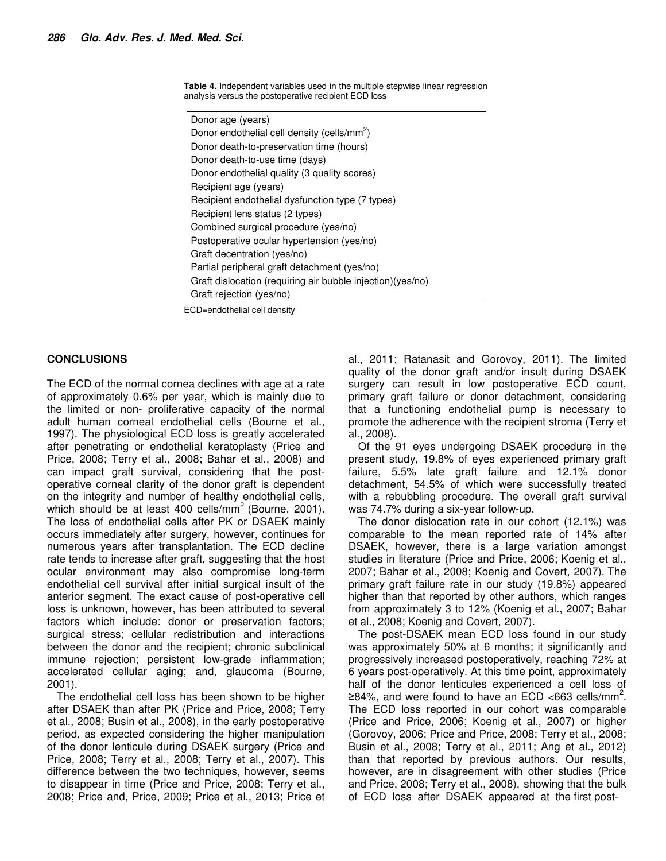**Table 4.** Independent variables used in the multiple stepwise linear regression analysis versus the postoperative recipient ECD loss

Donor age (years) Donor endothelial cell density (cells/mm<sup>2</sup>) Donor death-to-preservation time (hours) Donor death-to-use time (days) Donor endothelial quality (3 quality scores) Recipient age (years) Recipient endothelial dysfunction type (7 types) Recipient lens status (2 types) Combined surgical procedure (yes/no) Postoperative ocular hypertension (yes/no) Graft decentration (yes/no) Partial peripheral graft detachment (yes/no) Graft dislocation (requiring air bubble injection)(yes/no) Graft rejection (yes/no)

ECD=endothelial cell density

#### **CONCLUSIONS**

The ECD of the normal cornea declines with age at a rate of approximately 0.6% per year, which is mainly due to the limited or non- proliferative capacity of the normal adult human corneal endothelial cells (Bourne et al., 1997). The physiological ECD loss is greatly accelerated after penetrating or endothelial keratoplasty (Price and Price, 2008; Terry et al., 2008; Bahar et al., 2008) and can impact graft survival, considering that the postoperative corneal clarity of the donor graft is dependent on the integrity and number of healthy endothelial cells, which should be at least 400 cells/ $mm<sup>2</sup>$  (Bourne, 2001). The loss of endothelial cells after PK or DSAEK mainly occurs immediately after surgery, however, continues for numerous years after transplantation. The ECD decline rate tends to increase after graft, suggesting that the host ocular environment may also compromise long-term endothelial cell survival after initial surgical insult of the anterior segment. The exact cause of post-operative cell loss is unknown, however, has been attributed to several factors which include: donor or preservation factors; surgical stress; cellular redistribution and interactions between the donor and the recipient; chronic subclinical immune rejection; persistent low-grade inflammation; accelerated cellular aging; and, glaucoma (Bourne, 2001).

The endothelial cell loss has been shown to be higher after DSAEK than after PK (Price and Price, 2008; Terry et al., 2008; Busin et al., 2008), in the early postoperative period, as expected considering the higher manipulation of the donor lenticule during DSAEK surgery (Price and Price, 2008; Terry et al., 2008; Terry et al., 2007). This difference between the two techniques, however, seems to disappear in time (Price and Price, 2008; Terry et al., 2008; Price and, Price, 2009; Price et al., 2013; Price et al., 2011; Ratanasit and Gorovoy, 2011). The limited quality of the donor graft and/or insult during DSAEK surgery can result in low postoperative ECD count, primary graft failure or donor detachment, considering that a functioning endothelial pump is necessary to promote the adherence with the recipient stroma (Terry et al., 2008).

Of the 91 eyes undergoing DSAEK procedure in the present study, 19.8% of eyes experienced primary graft failure, 5.5% late graft failure and 12.1% donor detachment, 54.5% of which were successfully treated with a rebubbling procedure. The overall graft survival was 74.7% during a six-year follow-up.

The donor dislocation rate in our cohort (12.1%) was comparable to the mean reported rate of 14% after DSAEK, however, there is a large variation amongst studies in literature (Price and Price, 2006; Koenig et al., 2007; Bahar et al., 2008; Koenig and Covert, 2007). The primary graft failure rate in our study (19.8%) appeared higher than that reported by other authors, which ranges from approximately 3 to 12% (Koenig et al., 2007; Bahar et al., 2008; Koenig and Covert, 2007).

The post-DSAEK mean ECD loss found in our study was approximately 50% at 6 months; it significantly and progressively increased postoperatively, reaching 72% at 6 years post-operatively. At this time point, approximately half of the donor lenticules experienced a cell loss of ≥84%, and were found to have an ECD <663 cells/mm<sup>2</sup>. The ECD loss reported in our cohort was comparable (Price and Price, 2006; Koenig et al., 2007) or higher (Gorovoy, 2006; Price and Price, 2008; Terry et al., 2008; Busin et al., 2008; Terry et al., 2011; Ang et al., 2012) than that reported by previous authors. Our results, however, are in disagreement with other studies (Price and Price, 2008; Terry et al., 2008), showing that the bulk of ECD loss after DSAEK appeared at the first post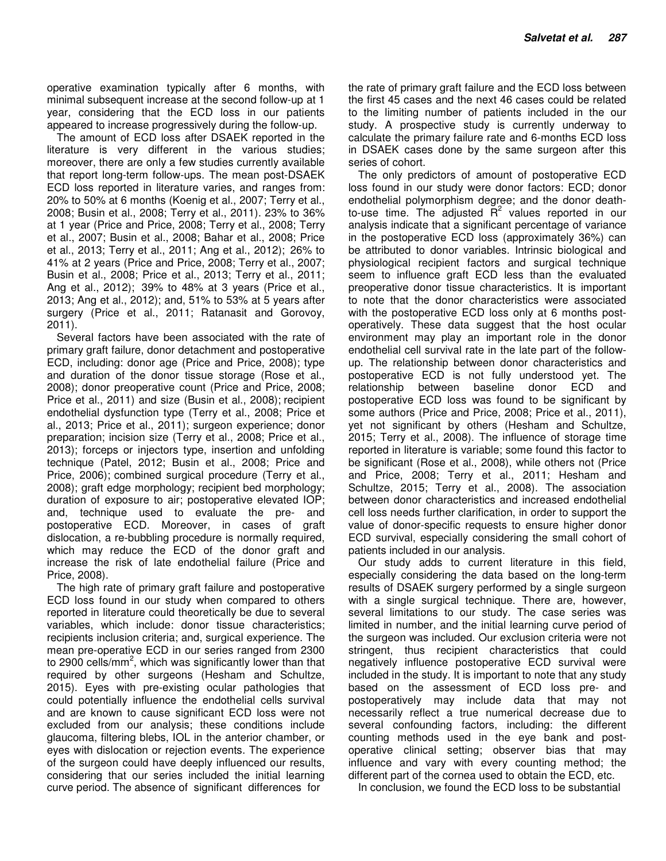operative examination typically after 6 months, with minimal subsequent increase at the second follow-up at 1 year, considering that the ECD loss in our patients appeared to increase progressively during the follow-up.

The amount of ECD loss after DSAEK reported in the literature is very different in the various studies; moreover, there are only a few studies currently available that report long-term follow-ups. The mean post-DSAEK ECD loss reported in literature varies, and ranges from: 20% to 50% at 6 months (Koenig et al., 2007; Terry et al., 2008; Busin et al., 2008; Terry et al., 2011). 23% to 36% at 1 year (Price and Price, 2008; Terry et al., 2008; Terry et al., 2007; Busin et al., 2008; Bahar et al., 2008; Price et al., 2013; Terry et al., 2011; Ang et al., 2012); 26% to 41% at 2 years (Price and Price, 2008; Terry et al., 2007; Busin et al., 2008; Price et al., 2013; Terry et al., 2011; Ang et al., 2012); 39% to 48% at 3 years (Price et al., 2013; Ang et al., 2012); and, 51% to 53% at 5 years after surgery (Price et al., 2011; Ratanasit and Gorovoy, 2011).

Several factors have been associated with the rate of primary graft failure, donor detachment and postoperative ECD, including: donor age (Price and Price, 2008); type and duration of the donor tissue storage (Rose et al., 2008); donor preoperative count (Price and Price, 2008; Price et al., 2011) and size (Busin et al., 2008); recipient endothelial dysfunction type (Terry et al., 2008; Price et al., 2013; Price et al., 2011); surgeon experience; donor preparation; incision size (Terry et al., 2008; Price et al., 2013); forceps or injectors type, insertion and unfolding technique (Patel, 2012; Busin et al., 2008; Price and Price, 2006); combined surgical procedure (Terry et al., 2008); graft edge morphology; recipient bed morphology; duration of exposure to air; postoperative elevated IOP; and, technique used to evaluate the pre- and postoperative ECD. Moreover, in cases of graft dislocation, a re-bubbling procedure is normally required, which may reduce the ECD of the donor graft and increase the risk of late endothelial failure (Price and Price, 2008).

The high rate of primary graft failure and postoperative ECD loss found in our study when compared to others reported in literature could theoretically be due to several variables, which include: donor tissue characteristics; recipients inclusion criteria; and, surgical experience. The mean pre-operative ECD in our series ranged from 2300 to 2900 cells/mm<sup>2</sup>, which was significantly lower than that required by other surgeons (Hesham and Schultze, 2015). Eyes with pre-existing ocular pathologies that could potentially influence the endothelial cells survival and are known to cause significant ECD loss were not excluded from our analysis; these conditions include glaucoma, filtering blebs, IOL in the anterior chamber, or eyes with dislocation or rejection events. The experience of the surgeon could have deeply influenced our results, considering that our series included the initial learning curve period. The absence of significant differences for

the rate of primary graft failure and the ECD loss between the first 45 cases and the next 46 cases could be related to the limiting number of patients included in the our study. A prospective study is currently underway to calculate the primary failure rate and 6-months ECD loss in DSAEK cases done by the same surgeon after this series of cohort.

The only predictors of amount of postoperative ECD loss found in our study were donor factors: ECD; donor endothelial polymorphism degree; and the donor deathto-use time. The adjusted  $R^2$  values reported in our analysis indicate that a significant percentage of variance in the postoperative ECD loss (approximately 36%) can be attributed to donor variables. Intrinsic biological and physiological recipient factors and surgical technique seem to influence graft ECD less than the evaluated preoperative donor tissue characteristics. It is important to note that the donor characteristics were associated with the postoperative ECD loss only at 6 months postoperatively. These data suggest that the host ocular environment may play an important role in the donor endothelial cell survival rate in the late part of the followup. The relationship between donor characteristics and postoperative ECD is not fully understood yet. The relationship between baseline donor ECD and postoperative ECD loss was found to be significant by some authors (Price and Price, 2008; Price et al., 2011), yet not significant by others (Hesham and Schultze, 2015; Terry et al., 2008). The influence of storage time reported in literature is variable; some found this factor to be significant (Rose et al., 2008), while others not (Price and Price, 2008; Terry et al., 2011; Hesham and Schultze, 2015; Terry et al., 2008). The association between donor characteristics and increased endothelial cell loss needs further clarification, in order to support the value of donor-specific requests to ensure higher donor ECD survival, especially considering the small cohort of patients included in our analysis.

Our study adds to current literature in this field, especially considering the data based on the long-term results of DSAEK surgery performed by a single surgeon with a single surgical technique. There are, however, several limitations to our study. The case series was limited in number, and the initial learning curve period of the surgeon was included. Our exclusion criteria were not stringent, thus recipient characteristics that could negatively influence postoperative ECD survival were included in the study. It is important to note that any study based on the assessment of ECD loss pre- and postoperatively may include data that may not necessarily reflect a true numerical decrease due to several confounding factors, including: the different counting methods used in the eye bank and postoperative clinical setting; observer bias that may influence and vary with every counting method; the different part of the cornea used to obtain the ECD, etc.

In conclusion, we found the ECD loss to be substantial